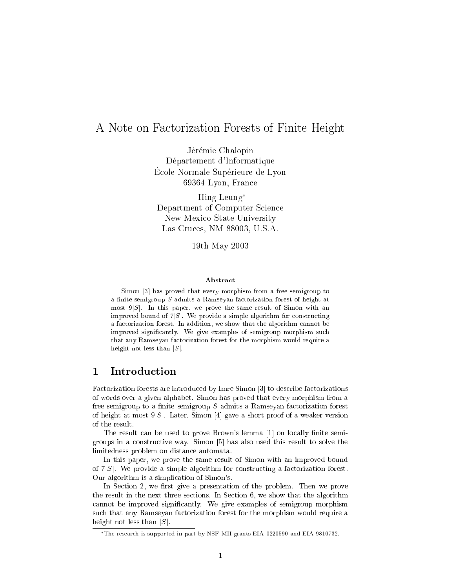# A Note on Factorization Forests of Finite Height

Jérémie Chalopin Département d'Informatique Ecole Normale Supérieure de Lyon 69364 Lyon, Fran
e

Hing Leung Department of Computer S
ien
e New Mexi
o State University Las Cru
es, NM 88003, U.S.A.

19th May 2003

### Abstra
t

Simon [3℄ has proved that every morphism from <sup>a</sup> free semigroup to a control semigroup S admits a Ramseyan factorization for the semigroup of the semigroup most 9jSj. In this paper, we prove the same result of Simon with an improved bound of 7jSj. We provide <sup>a</sup> simple algorithm for onstru
ting a factorization for the addition, we show that the algorithm complete  $\alpha$  . improved signi
antly. We give examples of semigroup morphism su
h that any Ramsey and the more that the more that the more possible at the more than  $\alpha$ height not less than jSj.

#### $\mathbf{1}$ **Introduction**

Factorization forests are introduced by Imre Simon [3] to describe factorizations of words over a given alphabet. Simon has proved that every morphism from a free semigroup to a finite semigroup  $S$  admits a Ramseyan factorization forest of height at most  $9|S|$ . Later, Simon [4] gave a short proof of a weaker version of the result.

The result can be used to prove Brown's lemma [1] on locally finite semigroups in a constructive way. Simon [5] has also used this result to solve the limitedness problem on distan
e automata.

In this paper, we prove the same result of Simon with an improved bound of  $7|S|$ . We provide a simple algorithm for constructing a factorization forest. Our algorithm is a simpli
ation of Simon's.

In Section 2, we first give a presentation of the problem. Then we prove the result in the next three se
tions. In Se
tion 6, we show that the algorithm cannot be improved significantly. We give examples of semigroup morphism su
h that any Ramseyan fa
torization forest for the morphism would require a height not less than  $|S|$ .

The resear
h is supported in part by NSF MII grants EIA-0220590 and EIA-9810732.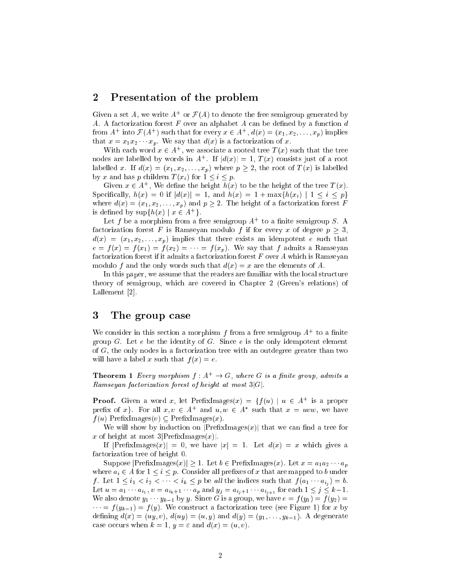#### 2Presentation of the problem

Given a set A, we write  $A^+$  or  $\mathcal{F}(A)$  to denote the free semigroup generated by A. A factorization forest F over an alphabet A can be defined by a function  $d$ from  $A^+$  into  $\mathcal{F}(A^+)$  such that for every  $x \in A^+$ ,  $d(x) = (x_1, x_2, \ldots, x_n)$  implies that  $x = x_1 x_2 \cdots x_p$ . We say that  $d(x)$  is a factorization of x.

With each word  $x \in A^+$ , we associate a rooted tree  $T(x)$  such that the tree nodes are labelled by words in  $A^+$ . If  $|d(x)| = 1$ ,  $T(x)$  consists just of a root labelled x. If  $d(x) = (x_1, x_2, \ldots, x_p)$  where  $p \geq 2$ , the root of  $T(x)$  is labelled by x and has p children  $T(x_i)$  for  $1 \leq i \leq p$ .

Given  $x \in A^+$ . We define the height  $h(x)$  to be the height of the tree  $T(x)$ . Specifically,  $h(x) = 0$  if  $|d(x)| = 1$ , and  $h(x) = 1 + \max\{h(x_i) | 1 \le i \le p\}$ where  $d(x) = (x_1, x_2, \ldots, x_p)$  and  $p \ge 2$ . The height of a factorization forest F is defined by  $\sup\{h(x) \mid x \in A^+\}.$ 

Let f be a morphism from a free semigroup  $A^+$  to a finite semigroup S. A factorization forest F is Ramseyan modulo f if for every x of degree  $p > 3$ ,  $d(x) = (x_1, x_2, \ldots, x_p)$  implies that there exists an idempotent e such that  $e = f(x) = f(x_1) = f(x_2) = \cdots = f(x_p)$ . We say that f admits a Ramseyan factorization forest if it admits a factorization forest  $F$  over  $A$  which is Ramseyan modulo f and the only words such that  $d(x) = x$  are the elements of A.

In this paper, we assume that the readers are familiar with the local structure theory of semigroup, whi
h are overed in Chapter 2 (Green's relations) of Lallement  $[2]$ .

#### 3The group ase

We consider in this section a morphism f from a free semigroup  $A^+$  to a finite group  $G$ . Let  $e$  be the identity of  $G$ . Since  $e$  is the only idempotent element of  $G$ , the only nodes in a factorization tree with an outdegree greater than two will have a label x such that  $f(x) = e$ .

**Theorem 1** Every morphism  $f : A^+ \to G$ , where G is a finite group, admits a Ramseyan factorization forest of height at most  $3|G|$ .

**Proof.** Given a word x, let PrefixImages $(x) = \{f(u) | u \in A^+ \text{ is a proper }$ prefix of  $x$ . For all  $x, v \in A^+$  and  $u, w \in A^*$  such that  $x = uvw$ , we have  $f(u)$  PrefixImages $(v) \subseteq$ PrefixImages $(x)$ .

We will show by induction on  $\text{PrefixImages}(x)$  that we can find a tree for x of height at most  $3$  PrefixImages $(x)$ .

If  $|\text{PrefixImages}(x)| = 0$ , we have  $|x| = 1$ . Let  $d(x) = x$  which gives a factorization tree of height 0.

Suppose  $|\text{PrefixImages}(x)| \geq 1$ . Let  $b \in \text{PrefixImages}(x)$ . Let  $x = a_1 a_2 \cdots a_p$ where  $a_i \in A$  for  $1 \leq i \leq p$ . Consider all prefixes of x that are mapped to b under f. Let  $1 \leq i_1 < i_2 < \cdots < i_k \leq p$  be all the indices such that  $f(a_1 \cdots a_{i_j}) = b$ . Let  $u = a_1 \cdots a_{i_1}$ ,  $v = a_{i_k+1} \cdots a_p$  and  $y_j = a_{i_j+1} \cdots a_{i_{j+1}}$  for each  $1 \leq j \leq k-1$ . We also denote  $y_1 \cdots y_{k-1}$  by y. Since G is a group, we have  $e = f(y_1) = f(y_2)$  $\cdots = f(y_{k-1}) = f(y)$ . We construct a factorization tree (see Figure 1) for x by defining  $d(x) = (uy, v), d(uy) = (u, y)$  and  $d(y) = (y_1, \ldots, y_{k-1})$ . A degenerate case occurs when  $k = 1$ ,  $y = \varepsilon$  and  $d(x) = (u, v)$ .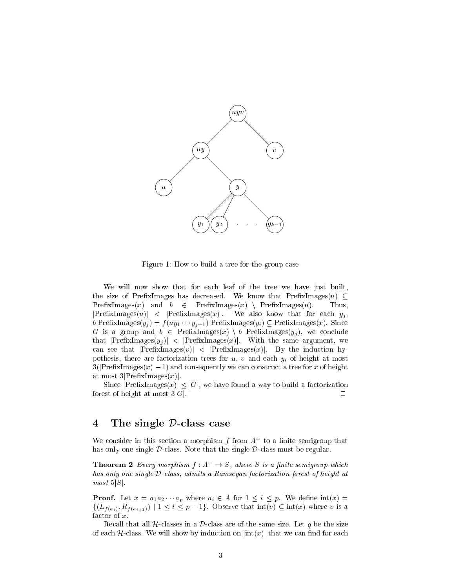

Figure 1: How to build a tree for the group ase

We will now show that for each leaf of the tree we have just built, the size of PrefixImages has decreased. We know that PrefixImages $(u) \subset$  $PrefixImages(x)$  and  $b \in PrefixImages(x) \setminus PrefixImages(u)$ . Thus,  $|\text{PrefixImages}(u)| \leq |\text{PrefixImages}(x)|.$  We also know that for each  $y_j$ , b PrefixImages $(y_j) = f(uy_1 \cdots y_{j-1})$  PrefixImages $(y_i) \subseteq$  PrefixImages $(x)$ . Since G is a group and  $b \in PrefixImages(x) \setminus b$  PrefixImages $(y_j)$ , we conclude that  $|\text{PrefixImages}(y_j)| \leq |\text{PrefixImages}(x)|$ . With the same argument, we can see that  $|PrefixImages(v)| \langle |PrefixImages(x)|$ . By the induction hypothesis, there are factorization trees for  $u, v$  and each  $y_i$  of height at most  $3(|\text{PrefixImages}(x)|-1)$  and consequently we can construct a tree for x of height at most  $3$ |PrefixImages $(x)$ |.

Since  $|\text{PrefixImages}(x)| \leq |G|$ , we have found a way to build a factorization forest of height at most  $3|G|$ .

#### The single D-class case  $\overline{4}$

We consider in this section a morphism f from  $A^+$  to a finite semigroup that has only one single  $D$ -class. Note that the single  $D$ -class must be regular.

**Theorem 2** Every morphism  $f : A^+ \to S$ , where S is a finite semigroup which has only one single  $\mathcal D$ -class, admits a Ramseyan factorization forest of height at  $most 5|S|$ .

**Proof.** Let  $x = a_1 a_2 \cdots a_p$  where  $a_i \in A$  for  $1 \leq i \leq p$ . We define  $\text{int}(x) =$  $\{(L_{f(a_i)}, R_{f(a_{i+1})}) \mid 1 \leq i \leq p-1\}.$  Observe that  $\text{int}(v) \subseteq \text{int}(x)$  where v is a factor of  $x$ .

Recall that all  $H$ -classes in a  $D$ -class are of the same size. Let q be the size of each  $H$ -class. We will show by induction on  $|\text{int}(x)|$  that we can find for each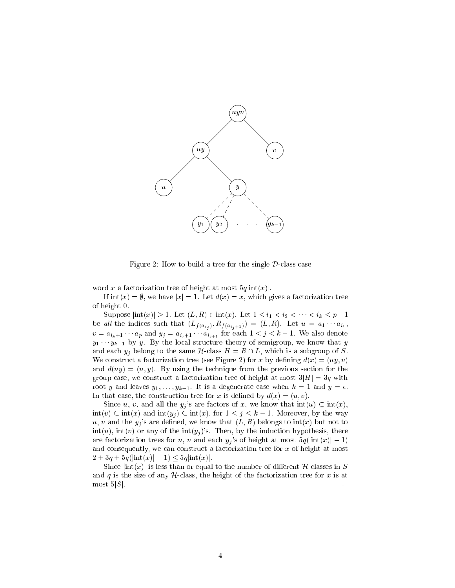

Figure 2: How to build a tree for the single  $\mathcal{D}$ -class case

word x a factorization tree of height at most  $5q$   $\frac{sin(x)}{x}$ .

If  $\text{int}(x) = \emptyset$ , we have  $|x| = 1$ . Let  $d(x) = x$ , which gives a factorization tree of height 0.

Suppose  $|\text{int}(x)| \ge 1$ . Let  $(L, R) \in \text{int}(x)$ . Let  $1 \le i_1 < i_2 < \cdots < i_k \le p-1$ be all the indices such that  $(L_{f(a_{i_j})}, R_{f(a_{i_j+1})}) = (L, R)$ . Let  $u = a_1 \cdots a_{i_1}$ ,  $v = a_{i_k+1} \cdots a_p$  and  $y_j = a_{i_j+1} \cdots a_{i_{j+1}}$  for each  $1 \leq j \leq k-1$ . We also denote  $y_1 \cdots y_{k-1}$  by y. By the local structure theory of semigroup, we know that y and each  $y_j$  belong to the same H-class  $H = R \cap L$ , which is a subgroup of S. We construct a factorization tree (see Figure 2) for x by defining  $d(x) = (uy, v)$ and  $d(uy) = (u, y)$ . By using the technique from the previous section for the group case, we construct a factorization tree of height at most  $3|H| = 3q$  with root y and leaves  $y_1, \ldots, y_{k-1}$ . It is a degenerate case when  $k = 1$  and  $y = \epsilon$ . In that case, the construction tree for x is defined by  $d(x) = (u, v)$ .

Since u, v, and all the  $y_j$ 's are factors of x, we know that  $\text{int}(u) \subseteq \text{int}(x)$ ,  $\text{int}(v) \subseteq \text{int}(x)$  and  $\text{int}(y_j) \subseteq \text{int}(x)$ , for  $1 \leq j \leq k - 1$ . Moreover, by the way u, v and the  $y_i$ 's are defined, we know that  $(L, R)$  belongs to  $\text{int}(x)$  but not to  $\text{int}(u)$ ,  $\text{int}(v)$  or any of the  $\text{int}(y_j)$ 's. Then, by the induction hypothesis, there are factorization trees for u, v and each  $y_j$ 's of height at most  $5q(\text{int}(x))-1$ ) and consequently, we can construct a factorization tree for  $x$  of height at most  $2 + 3q + 5q(\text{int}(x)) - 1 \leq 5q\text{int}(x)$ .

Since  $|\text{int}(x)|$  is less than or equal to the number of different H-classes in S and q is the size of any  $H$ -class, the height of the factorization tree for x is at most  $5|S|$ .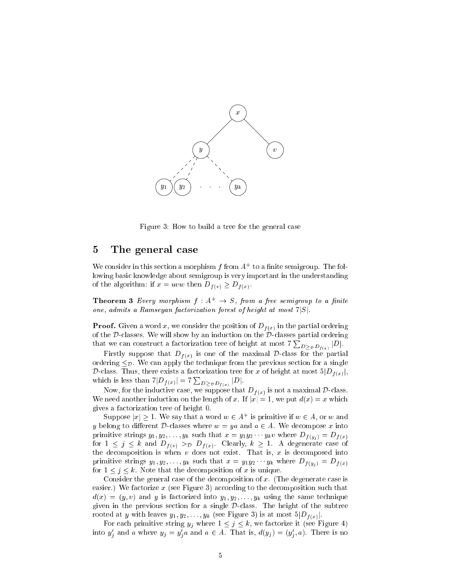

Figure 3: How to build a tree for the general case

#### $\overline{5}$ The general ase

We consider in this section a morphism  $f$  from  $A^+$  to a finite semigroup. The following basi knowledge about semigroup is very important in the understanding of the algorithm: if  $x = uvw$  then  $D_{f(v)} \ge D_{f(x)}$ .

**Theorem 3** Every morphism  $f : A^+ \rightarrow S$ , from a free semigroup to a finite one, admits a Ramseyan factorization forest of height at most  $7|S|$ .

**Proof.** Given a word x, we consider the position of  $D_{f(x)}$  in the partial ordering of the Dlasses. We will show by an indu
tion on the Dlasses partial ordering that we can construct a factorization tree of height at most  $7\sum_{D>p D_{f(x)}}|D|$ .

Firstly suppose that  $D_{f(x)}$  is one of the maximal D-class for the partial ordering  $\leq_{\mathcal{D}}$ . We can apply the technique from the previous section for a single D-class. Thus, there exists a factorization tree for x of height at most  $5|D_{f(x)}|$ , which is less than  $7|D_{f(x)}| = 7\sum_{D>D}P_{f(x)}|D|$ .

Now, for the inductive case, we suppose that  $D_{f(x)}$  is not a maximal D-class. We need another induction on the length of x. If  $|x|=1$ , we put  $d(x)=x$  which gives a fa
torization tree of height 0.

Suppose  $|x| \geq 1$ . We say that a word  $w \in A^+$  is primitive if  $w \in A$ , or w and y belong to different D-classes where  $w = ya$  and  $a \in A$ . We decompose x into primitive strings  $y_1, y_2, \ldots, y_k$  such that  $x = y_1y_2 \cdots y_kv$  where  $D_{f(y_i)} = D_{f(x)}$ for  $1 \leq j \leq k$  and  $D_{f(v)} >_{\mathcal{D}} D_{f(x)}$ . Clearly,  $k \geq 1$ . A degenerate case of the decomposition is when  $v$  does not exist. That is,  $x$  is decomposed into primitive strings  $y_1, y_2, \ldots, y_k$  such that  $x = y_1 y_2 \cdots y_k$  where  $D_{f(y_i)} = D_{f(x)}$ for  $1 \leq j \leq k$ . Note that the decomposition of x is unique.

Consider the general case of the decomposition of x. (The degenerate case is easier.) We factorize  $x$  (see Figure 3) according to the decomposition such that  $d(x) = (y, v)$  and y is factorized into  $y_1, y_2, \ldots, y_k$  using the same technique given in the previous se
tion for a single Dlass. The height of the subtree rooted at y with leaves  $y_1, y_2, \ldots, y_k$  (see Figure 3) is at most  $5|D_{f(x)}|$ .

For each primitive string  $y_j$  where  $1 \leq j \leq k$ , we factorize it (see Figure 4) into  $y'_j$  and a where  $y_j = y'_j a$  and  $a \in A$ . That is,  $d(y_j) = (y'_j, a)$ . There is no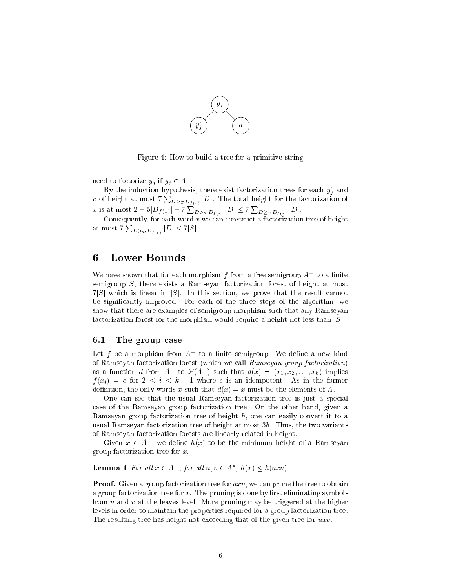

Figure 4: How to build a tree for a primitive string

need to factorize  $y_j$  if  $y_j \in A$ .

By the induction hypothesis, there exist factorization trees for each  $y_i$  and v of height at most  $7\sum_{D>D}D_{f(x)}|D|$ . The total height for the factorization of x is at most  $2 + 5|D_{f(x)}| + 7\sum_{D>p}D_{f(x)}|D| \le 7\sum_{D>p}D_{f(x)}|D|$ .

Consequently, for each word  $x$  we can construct a factorization tree of height at most  $7\sum_{D>pD_{f(x)}}|D|\leq 7|S|$ .

#### 6 Lower Bounds

We have shown that for each morphism f from a free semigroup  $A^+$  to a finite semigroup  $S$ , there exists a Ramseyan factorization forest of height at most  $7|S|$  which is linear in |S|. In this section, we prove that the result cannot be significantly improved. For each of the three steps of the algorithm, we show that there are examples of semigroup morphism such that any Ramseyan factorization forest for the morphism would require a height not less than |S|.

#### 6.1The group ase

Let f be a morphism from  $A^+$  to a finite semigroup. We define a new kind of Ramseyan factorization forest (which we call Ramseyan group factorization) as a function d from  $A^+$  to  $\mathcal{F}(A^+)$  such that  $d(x) = (x_1, x_2, \ldots, x_k)$  implies  $f(x_i) = e$  for  $2 \leq i \leq k - 1$  where e is an idempotent. As in the former definition, the only words x such that  $d(x) = x$  must be the elements of A.

One can see that the usual Ramseyan factorization tree is just a special case of the Ramseyan group factorization tree. On the other hand, given a Ramseyan group factorization tree of height  $h$ , one can easily convert it to a usual Ramseyan factorization tree of height at most  $3h$ . Thus, the two variants of Ramseyan fa
torization forests are linearly related in height.

Given  $x \in A^+$ , we define  $h(x)$  to be the minimum height of a Ramsevan group factorization tree for  $x$ .

**Lemma 1** For all  $x \in A^+$ , for all  $u, v \in A^*$ ,  $h(x) \leq h(uxv)$ .

**Proof.** Given a group factorization tree for  $uxv$ , we can prune the tree to obtain a group factorization tree for  $x$ . The pruning is done by first eliminating symbols from  $u$  and  $v$  at the leaves level. More pruning may be triggered at the higher levels in order to maintain the properties required for a group factorization tree. The resulting tree has height not exceeding that of the given tree for  $uxv$ .  $\Box$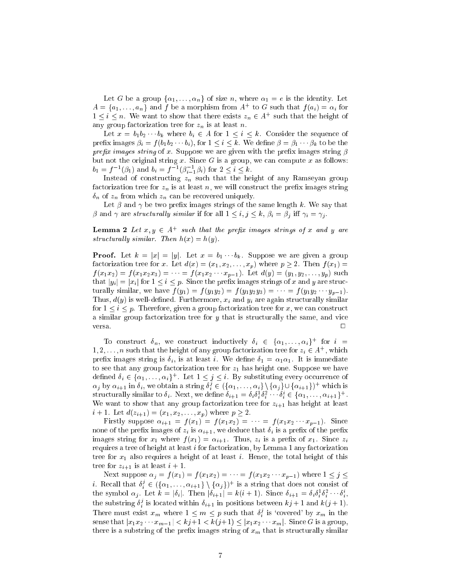Let G be a group  $\{\alpha_1, \ldots, \alpha_n\}$  of size n, where  $\alpha_1 = e$  is the identity. Let  $A = \{a_1, \ldots, a_n\}$  and f be a morphism from  $A^+$  to G such that  $f(a_i) = \alpha_i$  for  $1 \leq i \leq n$ . We want to show that there exists  $z_n \in A^+$  such that the height of any group factorization tree for  $z_n$  is at least n.

Let  $x = b_1 b_2 \cdots b_k$  where  $b_i \in A$  for  $1 \leq i \leq k$ . Consider the sequence of prefix images  $\beta_i = f(b_1b_2 \cdots b_i)$ , for  $1 \leq i \leq k$ . We define  $\beta = \beta_1 \cdots \beta_k$  to be the prefix images string of x. Suppose we are given with the prefix images string  $\beta$ but not the original string x. Since  $G$  is a group, we can compute x as follows:  $b_1 = f^{-1}(\beta_1)$  and  $b_i = f^{-1}(\beta_{i-1}^{-1}\beta_i)$  for  $2 \leq i \leq k$ .

Instead of constructing  $z_n$  such that the height of any Ramseyan group factorization tree for  $z_n$  is at least n, we will construct the prefix images string  $\delta_n$  of  $z_n$  from which  $z_n$  can be recovered uniquely.

Let  $\beta$  and  $\gamma$  be two prefix images strings of the same length k. We say that  $\beta$  and  $\gamma$  are structurally similar if for all  $1 \leq i, j \leq k, \beta_i = \beta_j$  iff  $\gamma_i = \gamma_j$ .

**Lemma 2** Let  $x, y \in A^+$  such that the prefix images strings of x and y are structurally similar. Then  $h(x) = h(y)$ .

**Proof.** Let  $k = |x| = |y|$ . Let  $x = b_1 \cdots b_k$ . Suppose we are given a group factorization tree for x. Let  $d(x) = (x_1, x_2, \ldots, x_p)$  where  $p \ge 2$ . Then  $f(x_1) =$  $f(x_1x_2) = f(x_1x_2x_3) = \cdots = f(x_1x_2 \cdots x_{p-1})$ . Let  $d(y) = (y_1, y_2, \ldots, y_p)$  such that  $|y_i| = |x_i|$  for  $1 \le i \le p$ . Since the prefix images strings of x and y are structurally similar, we have  $f(y_1) = f(y_1y_2) = f(y_1y_2y_3) = \cdots = f(y_1y_2 \cdots y_{p-1}).$ Thus,  $d(y)$  is well-defined. Furthermore,  $x_i$  and  $y_i$  are again structurally similar for  $1 \leq i \leq p$ . Therefore, given a group factorization tree for x, we can construct a similar group factorization tree for  $y$  that is structurally the same, and vice  $\Box$ 

To construct  $\delta_n$ , we construct inductively  $\delta_i \in {\alpha_1, \ldots, \alpha_i}^+$  for  $i =$  $1, 2, \ldots, n$  such that the height of any group factorization tree for  $z_i \in A^+$ , which prefix images string is  $\delta_i$ , is at least i. We define  $\delta_1 = \alpha_1 \alpha_1$ . It is immediate to see that any group factorization tree for  $z_1$  has height one. Suppose we have defined  $\delta_i \in \{\alpha_1, \ldots, \alpha_i\}^+$ . Let  $1 \leq j \leq i$ . By substituting every occurrence of  $\alpha_j$  by  $\alpha_{i+1}$  in  $\delta_i$ , we obtain a string  $\delta_i^j \in (\{\alpha_1,\ldots,\alpha_i\}\setminus\{\alpha_j\}\cup\{\alpha_{i+1}\})^+$  which is structurally similar to  $\delta_i$ . Next, we define  $\delta_{i+1} = \delta_i \delta_i^1 \delta_i^2 \cdots \delta_i^i \in \{\alpha_1, \ldots, \alpha_{i+1}\}^+.$ <sup>i</sup> We want to show that any group factorization tree for  $z_{i+1}$  has height at least  $i + 1$ . Let  $d(z_{i+1}) = (x_1, x_2, \ldots, x_p)$  where  $p \ge 2$ .

Firstly suppose  $\alpha_{i+1} = f(x_1) = f(x_1 x_2) = \cdots = f(x_1 x_2 \cdots x_{p-1})$ . Since none of the prefix images of  $z_i$  is  $\alpha_{i+1}$ , we deduce that  $\delta_i$  is a prefix of the prefix images string for  $x_1$  where  $f(x_1) = \alpha_{i+1}$ . Thus,  $z_i$  is a prefix of  $x_1$ . Since  $z_i$ requires a tree of height at least  $i$  for factorization, by Lemma 1 any factorization tree for  $x_1$  also requires a height of at least *i*. Hence, the total height of this tree for  $z_{i+1}$  is at least  $i+1$ .

Next suppose  $\alpha_j = f(x_1) = f(x_1x_2) = \cdots = f(x_1x_2 \cdots x_{p-1})$  where  $1 \leq j \leq p$ *i*. Recall that  $\delta_i^j \in (\{\alpha_1, \ldots, \alpha_{i+1}\} \setminus \{\alpha_j\})^+$  is a string that does not consist of the symbol  $\alpha_j$ . Let  $k = |\delta_i|$ . Then  $|\delta_{i+1}| = k(i+1)$ . Since  $\delta_{i+1} = \delta_i \delta_i^1 \delta_i^2 \cdots \delta_i^i$ , the substring  $\delta_i^j$  is located within  $\delta_{i+1}$  in positions between  $kj+1$  and  $k(j+1)$ . There must exist  $x_m$  where  $1 \leq m \leq p$  such that  $\delta_i^j$  is 'covered' by  $x_m$  in the sense that  $|x_1x_2\cdots x_{m-1}| < k j+1 < k(j+1) \leq |x_1x_2\cdots x_m|$ . Since G is a group, there is a substring of the prefix images string of  $x_m$  that is structurally similar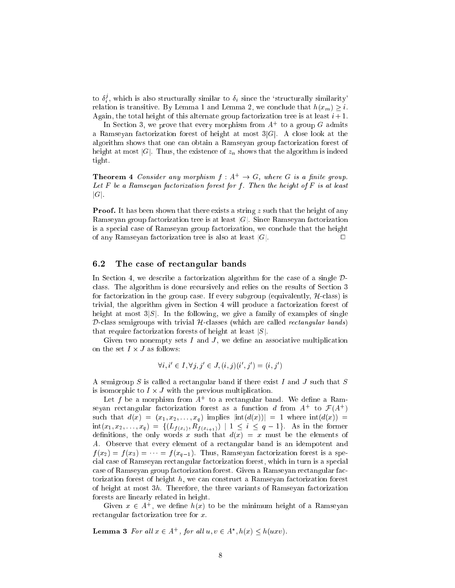to  $\delta_i^j$ , which is also structurally similar to  $\delta_i$  since the 'structurally similarity' <sup>i</sup> relation is transitive. By Lemma 1 and Lemma 2, we conclude that  $h(x_m) \geq i$ . Again, the total height of this alternate group factorization tree is at least  $i+1$ .

In Section 3, we prove that every morphism from  $A^+$  to a group G admits a Ramseyan factorization forest of height at most  $3|G|$ . A close look at the algorithm shows that one an obtain a Ramseyan group fa
torization forest of height at most |G|. Thus, the existence of  $z_n$  shows that the algorithm is indeed tight.

**Theorem 4** Consider any morphism  $f : A^+ \to G$ , where G is a finite group. Let  $F$  be a Ramseyan factorization forest for f. Then the height of  $F$  is at least  $|G|$ .

**Proof.** It has been shown that there exists a string  $z$  such that the height of any Ramseyan group factorization tree is at least  $|G|$ . Since Ramseyan factorization is a spe
ial ase of Ramseyan group fa
torization, we on
lude that the height of any Ramseyan factorization tree is also at least  $|G|$ .

#### 6.2 The case of rectangular bands

In Section 4, we describe a factorization algorithm for the case of a single  $\mathcal{D}$ class. The algorithm is done recursively and relies on the results of Section 3 for factorization in the group case. If every subgroup (equivalently,  $H$ -class) is trivial, the algorithm given in Section 4 will produce a factorization forest of height at most  $3|S|$ . In the following, we give a family of examples of single  $D$ -class semigroups with trivial  $H$ -classes (which are called *rectangular bands*) that require factorization forests of height at least  $|S|$ .

Given two nonempty sets  $I$  and  $J$ , we define an associative multiplication on the set  $I \times J$  as follows:

$$
\forall i, i' \in I, \forall j, j' \in J, (i, j)(i', j') = (i, j')
$$

A semigroup S is called a rectangular band if there exist I and J such that  $S$ is isomorphic to  $I \times J$  with the previous multiplication.

Let f be a morphism from  $A^+$  to a rectangular band. We define a Ramseyan rectangular factorization forest as a function d from  $A^+$  to  $\mathcal{F}(A^+)$ such that  $d(x) = (x_1, x_2, \ldots, x_q)$  implies  $|\text{int}(d(x))| = 1$  where  $\text{int}(d(x)) =$  $\text{int}(x_1, x_2, \ldots, x_q) = \{ (L_{f(x_i)}, R_{f(x_{i+1})}) \mid 1 \leq i \leq q-1 \}.$  As in the former definitions, the only words x such that  $d(x) = x$  must be the elements of A. Observe that every element of a re
tangular band is an idempotent and  $f(x_2) = f(x_3) = \cdots = f(x_{q-1})$ . Thus, Ramseyan factorization forest is a special case of Ramseyan rectangular factorization forest, which in turn is a special case of Ramseyan group factorization forest. Given a Ramseyan rectangular factorization forest of height  $h$ , we can construct a Ramseyan factorization forest of height at most  $3h$ . Therefore, the three variants of Ramseyan factorization forests are linearly related in height.

Given  $x \in A^+$ , we define  $h(x)$  to be the minimum height of a Ramseyan rectangular factorization tree for x.

**Lemma 3** For all  $x \in A^+$ , for all  $u, v \in A^*$ ,  $h(x) \leq h(uxv)$ .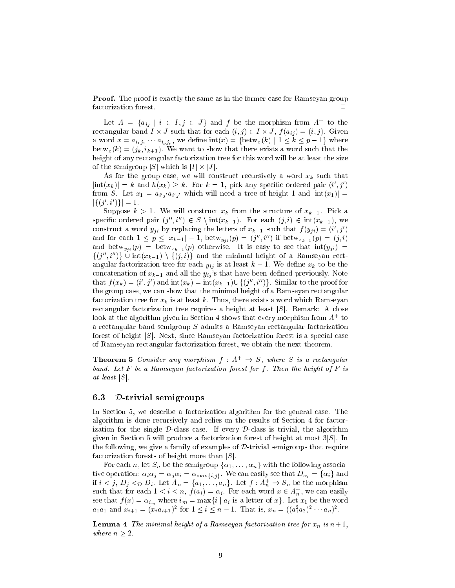**Proof.** The proof is exactly the same as in the former case for Ramseyan group factorization forest.  $\Box$ 

Let  $A = \{a_{ij} | i \in I, j \in J\}$  and f be the morphism from  $A^+$  to the rectangular band  $I \times J$  such that for each  $(i, j) \in I \times J$ ,  $f(a_{ij}) = (i, j)$ . Given a word  $x = a_{i_1 j_1} \cdots a_{i_n j_n}$ , we define  $\text{int}(x) = \{\text{between}(k) \mid 1 \leq k \leq p-1\}$  where  $\mathrm{betw}_x(k) = (j_k, i_{k+1})$ . We want to show that there exists a word such that the height of any rectangular factorization tree for this word will be at least the size of the semigroup  $|S|$  which is  $|I| \times |J|$ .

As for the group case, we will construct recursively a word  $x_k$  such that  $\left|\text{int}(x_k)\right| = k$  and  $h(x_k) \geq k$ . For  $k = 1$ , pick any specific ordered pair  $(i', j')$ from S. Let  $x_1 = a_{i'j'}a_{i'j'}$  which will need a tree of height 1 and  $|\text{int}(x_1)| =$  $|\{(j',i')\}|=1.$ 

Suppose  $k > 1$ . We will construct  $x_k$  from the structure of  $x_{k-1}$ . Pick a specific ordered pair  $(j'', i'') \in S \setminus \text{int}(x_{k-1})$ . For each  $(j, i) \in \text{int}(x_{k-1})$ , we construct a word  $y_{ji}$  by replacing the letters of  $x_{k-1}$  such that  $f(y_{ji}) = (i', j')$ and for each  $1 \leq p \leq |x_{k-1}| - 1$ , betw<sub>yi</sub>  $(p) = (j'', i'')$  if betw<sub>x<sub>k-1</sub></sub> $(p) = (j, i)$ and  $bctw_{y_{ji}}(p) = betw_{x_{k-1}}(p)$  otherwise. It is easy to see that  $int(y_{ji})$  =  $\{(j'',i'')\}\cup \text{int}(x_{k-1})\setminus \{(j,i)\}\$ and the minimal height of a Ramseyan rectangular factorization tree for each  $y_{ij}$  is at least  $k-1$ . We define  $x_k$  to be the concatenation of  $x_{k-1}$  and all the  $y_{ij}$ 's that have been defined previously. Note that  $f(x_k) = (i', j')$  and  $\text{int}(x_k) = \text{int}(x_{k-1}) \cup \{(j'', i'')\}$ . Similar to the proof for the group case, we can show that the minimal height of a Ramseyan rectangular factorization tree for  $x_k$  is at least k. Thus, there exists a word which Ramseyan rectangular factorization tree requires a height at least  $|S|$ . Remark: A close look at the algorithm given in Section 4 shows that every morphism from  $A^+$  to a re
tangular band semigroup S admits a Ramseyan re
tangular fa
torization forest of height  $|S|$ . Next, since Ramseyan factorization forest is a special case of Ramseyan re
tangular fa
torization forest, we obtain the next theorem.

**Theorem 5** Consider any morphism  $f : A^+ \rightarrow S$ , where S is a rectangular band. Let  $F$  be a Ramseyan factorization forest for f. Then the height of  $F$  is at least  $|S|$ .

#### 6.3D-trivial semigroups

In Section 5, we describe a factorization algorithm for the general case. The algorithm is done re
ursively and relies on the results of Se
tion 4 for fa
torization for the single  $D$ -class case. If every  $D$ -class is trivial, the algorithm given in Section 5 will produce a factorization forest of height at most  $3|S|$ . In the following, we give a family of examples of  $D$ -trivial semigroups that require factorization forests of height more than  $|S|$ .

For each *n*, let  $S_n$  be the semigroup  $\{\alpha_1, \ldots, \alpha_n\}$  with the following associative operation:  $\alpha_i \alpha_j = \alpha_j \alpha_i = \alpha_{\max\{i,j\}}$ . We can easily see that  $D_{\alpha_i} = {\alpha_i}$  and if  $i < j$ ,  $D_j <_{\mathcal{D}} D_i$ . Let  $A_n = \{a_1, \ldots, a_n\}$ . Let  $f : A_n^+ \to S_n$  be the morphism such that for each  $1 \leq i \leq n$ ,  $f(a_i) = \alpha_i$ . For each word  $x \in A_n^+$ , we can easily see that  $f(x) = \alpha_{i_m}$  where  $i_m = \max\{i \mid a_i \text{ is a letter of } x\}$ . Let  $x_1$  be the word  $a_1a_1$  and  $x_{i+1} = (x_ia_{i+1})^2$  for  $1 \leq i \leq n-1$ . That is,  $x_n = ((a_1^2a_2)^2 \cdots a_n)^2$ .

**Lemma 4** The minimal height of a Ramseyan factorization tree for  $x_n$  is  $n+1$ , where  $n \geq 2$ .